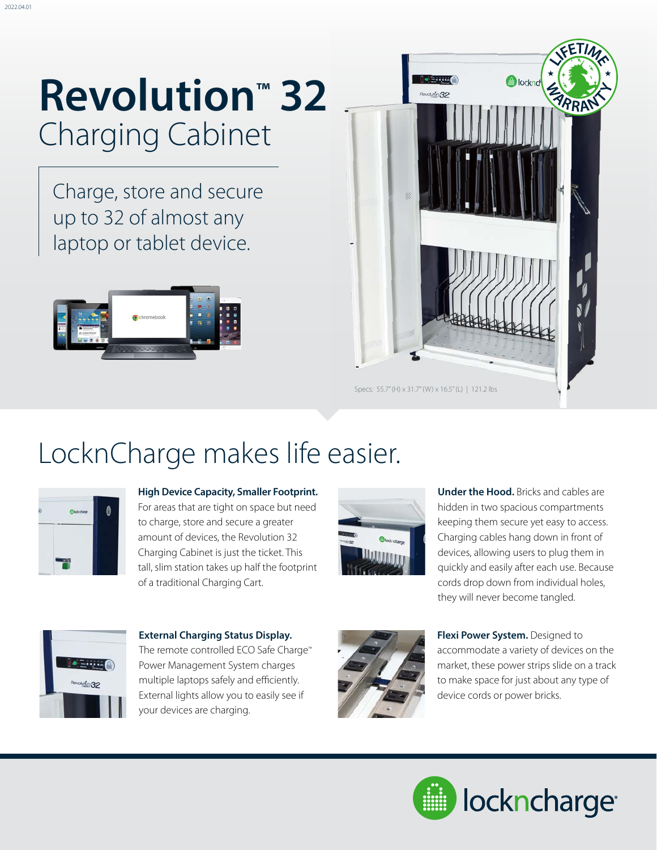## **Revolution™ 32** Charging Cabinet

Charge, store and secure up to 32 of almost any laptop or tablet device.





### LocknCharge makes life easier.



**High Device Capacity, Smaller Footprint.**  For areas that are tight on space but need to charge, store and secure a greater amount of devices, the Revolution 32 Charging Cabinet is just the ticket. This tall, slim station takes up half the footprint of a traditional Charging Cart.



**Under the Hood.** Bricks and cables are hidden in two spacious compartments keeping them secure yet easy to access. Charging cables hang down in front of devices, allowing users to plug them in quickly and easily after each use. Because cords drop down from individual holes, they will never become tangled.



**External Charging Status Display.**  The remote controlled ECO Safe Charge™ Power Management System charges multiple laptops safely and efficiently. External lights allow you to easily see if your devices are charging.



**Flexi Power System.** Designed to accommodate a variety of devices on the market, these power strips slide on a track to make space for just about any type of device cords or power bricks.